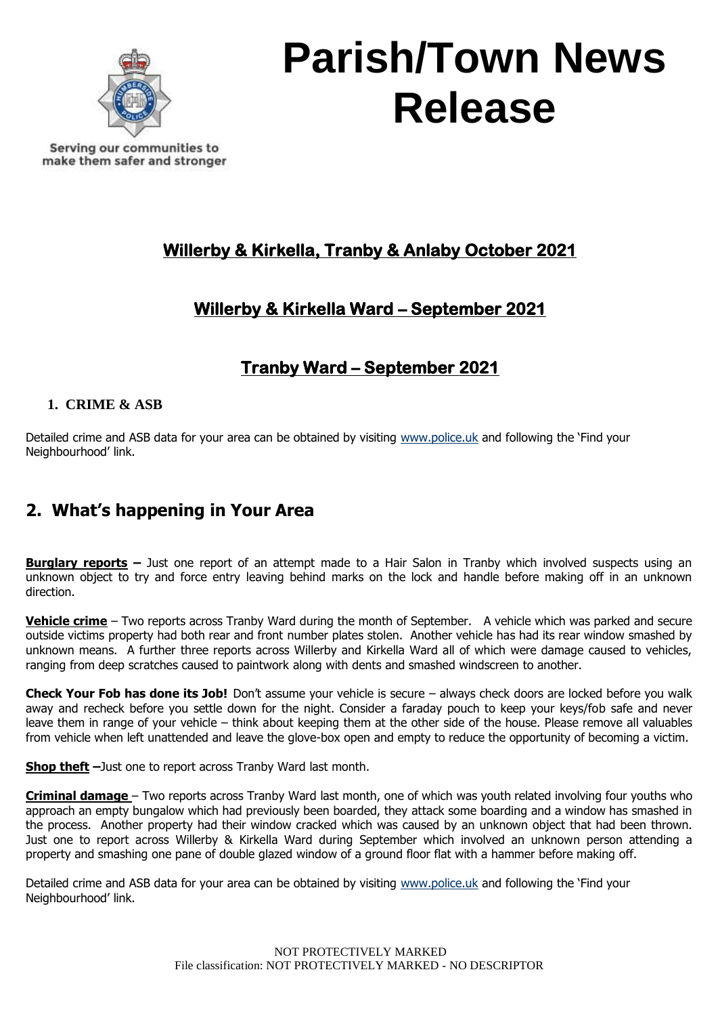

Serving our communities to make them safer and stronger

## **Willerby & Kirkella, Tranby & Anlaby October 2021**

## **Willerby & Kirkella Ward – September 2021**

## **Tranby Ward – September 2021**

#### **1. CRIME & ASB**

Detailed crime and ASB data for your area can be obtained by visiting [www.police.uk](http://www.police.uk/) and following the 'Find your Neighbourhood' link.

## **2. What's happening in Your Area**

**Burglary reports –** Just one report of an attempt made to a Hair Salon in Tranby which involved suspects using an unknown object to try and force entry leaving behind marks on the lock and handle before making off in an unknown direction.

**Vehicle crime** – Two reports across Tranby Ward during the month of September. A vehicle which was parked and secure outside victims property had both rear and front number plates stolen. Another vehicle has had its rear window smashed by unknown means. A further three reports across Willerby and Kirkella Ward all of which were damage caused to vehicles, ranging from deep scratches caused to paintwork along with dents and smashed windscreen to another.

**Check Your Fob has done its Job!** Don't assume your vehicle is secure – always check doors are locked before you walk away and recheck before you settle down for the night. Consider a faraday pouch to keep your keys/fob safe and never leave them in range of your vehicle – think about keeping them at the other side of the house. Please remove all valuables from vehicle when left unattended and leave the glove-box open and empty to reduce the opportunity of becoming a victim.

**Shop theft –**Just one to report across Tranby Ward last month.

**Criminal damage** – Two reports across Tranby Ward last month, one of which was youth related involving four youths who approach an empty bungalow which had previously been boarded, they attack some boarding and a window has smashed in the process. Another property had their window cracked which was caused by an unknown object that had been thrown. Just one to report across Willerby & Kirkella Ward during September which involved an unknown person attending a property and smashing one pane of double glazed window of a ground floor flat with a hammer before making off.

Detailed crime and ASB data for your area can be obtained by visiting [www.police.uk](http://www.police.uk/) and following the 'Find your Neighbourhood' link.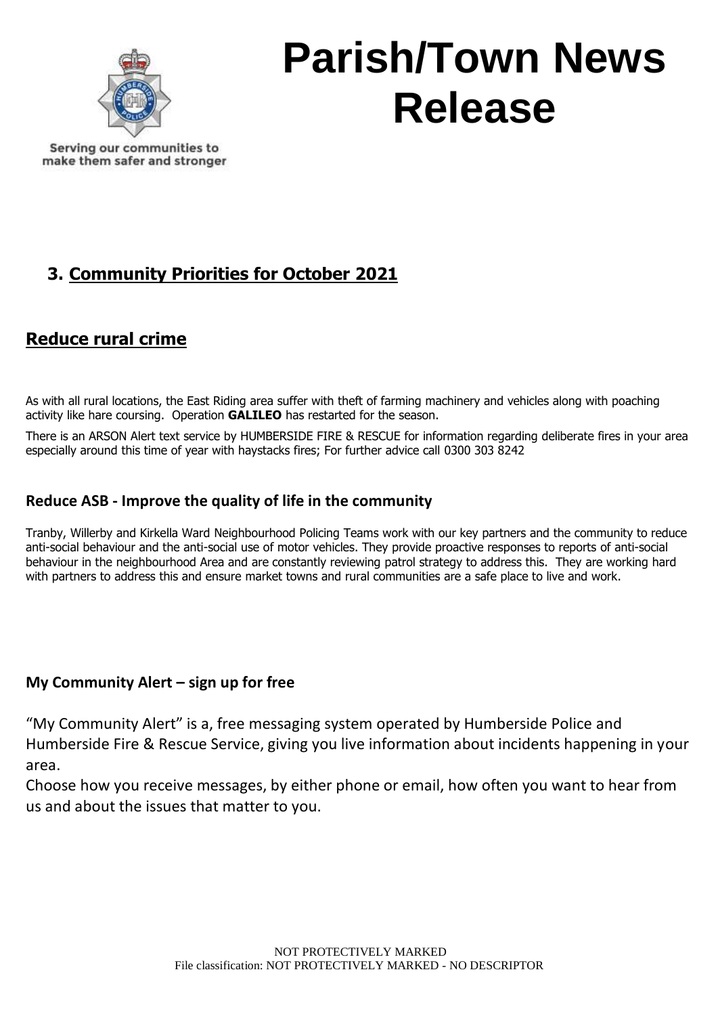

Serving our communities to make them safer and stronger

## **3. Community Priorities for October 2021**

### **Reduce rural crime**

As with all rural locations, the East Riding area suffer with theft of farming machinery and vehicles along with poaching activity like hare coursing. Operation **GALILEO** has restarted for the season.

There is an ARSON Alert text service by HUMBERSIDE FIRE & RESCUE for information regarding deliberate fires in your area especially around this time of year with haystacks fires; For further advice call 0300 303 8242

### **Reduce ASB - Improve the quality of life in the community**

Tranby, Willerby and Kirkella Ward Neighbourhood Policing Teams work with our key partners and the community to reduce anti-social behaviour and the anti-social use of motor vehicles. They provide proactive responses to reports of anti-social behaviour in the neighbourhood Area and are constantly reviewing patrol strategy to address this. They are working hard with partners to address this and ensure market towns and rural communities are a safe place to live and work.

### **My Community Alert – sign up for free**

"My Community Alert" is a, free messaging system operated by Humberside Police and Humberside Fire & Rescue Service, giving you live information about incidents happening in your area.

Choose how you receive messages, by either phone or email, how often you want to hear from us and about the issues that matter to you.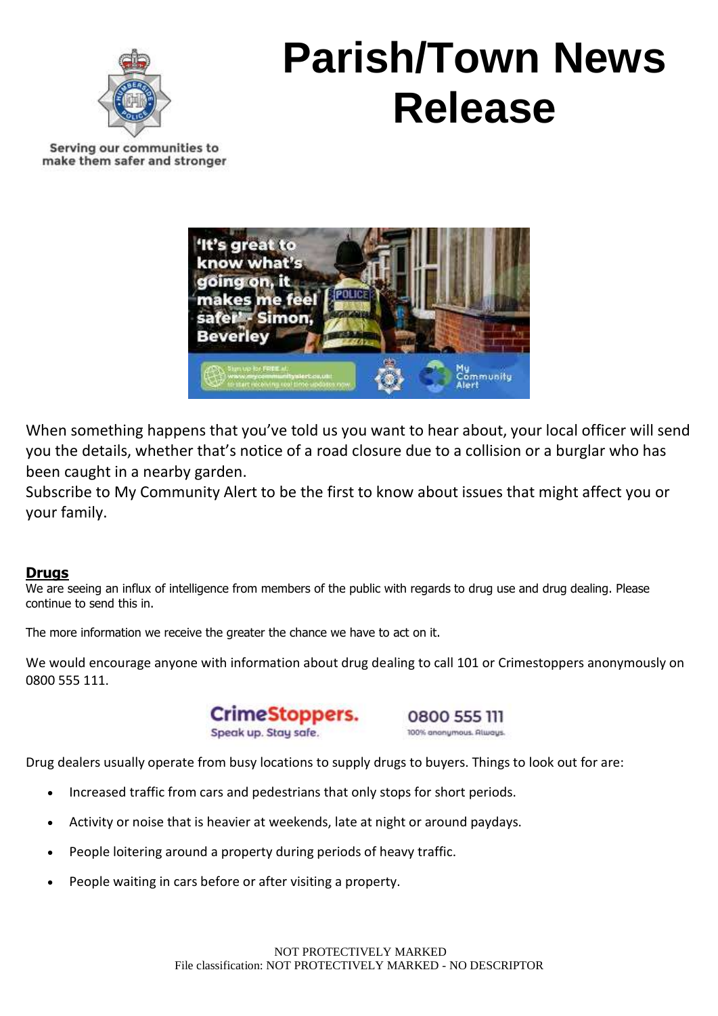

Serving our communities to make them safer and stronger



When something happens that you've told us you want to hear about, your local officer will send you the details, whether that's notice of a road closure due to a collision or a burglar who has been caught in a nearby garden.

Subscribe to My Community Alert to be the first to know about issues that might affect you or your family.

#### **Drugs**

We are seeing an influx of intelligence from members of the public with regards to drug use and drug dealing. Please continue to send this in.

The more information we receive the greater the chance we have to act on it.

We would encourage anyone with information about drug dealing to call 101 or Crimestoppers anonymously on 0800 555 111.

> CrimeStoppers. Speak up. Stay safe.

0800 555 111 100% anonymous. Always.

Drug dealers usually operate from busy locations to supply drugs to buyers. Things to look out for are:

- Increased traffic from cars and pedestrians that only stops for short periods.
- Activity or noise that is heavier at weekends, late at night or around paydays.
- People loitering around a property during periods of heavy traffic.
- People waiting in cars before or after visiting a property.